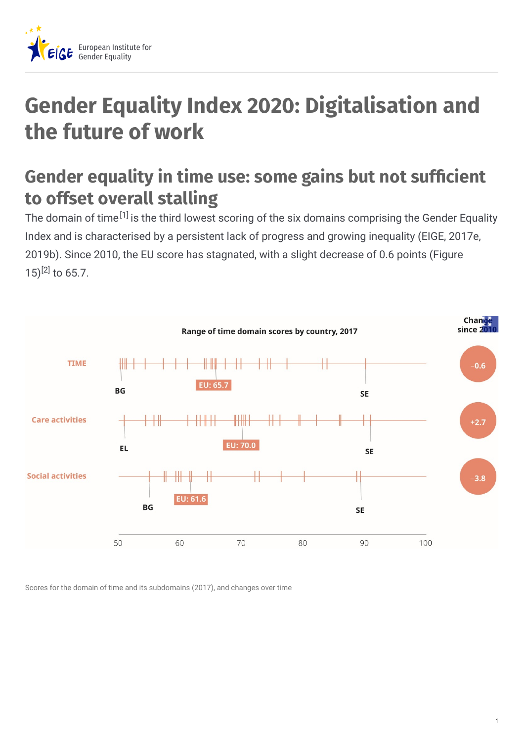

## **Gender Equality Index 2020: Digitalisation and the future of work**

## **Gender equality in time use: some gains but not sufcient to offset overall stalling**

The domain of time<sup>[1]</sup> is the third lowest scoring of the six domains comprising the Gender Equality Index and is characterised by a persistent lack of progress and growing inequality (EIGE, 2017e, 2019b). Since 2010, the EU score has stagnated, with a slight decrease of 0.6 points (Figure 15)<sup>[2]</sup> to 65.7.



Scores for the domain of time and its subdomains (2017), and changes over time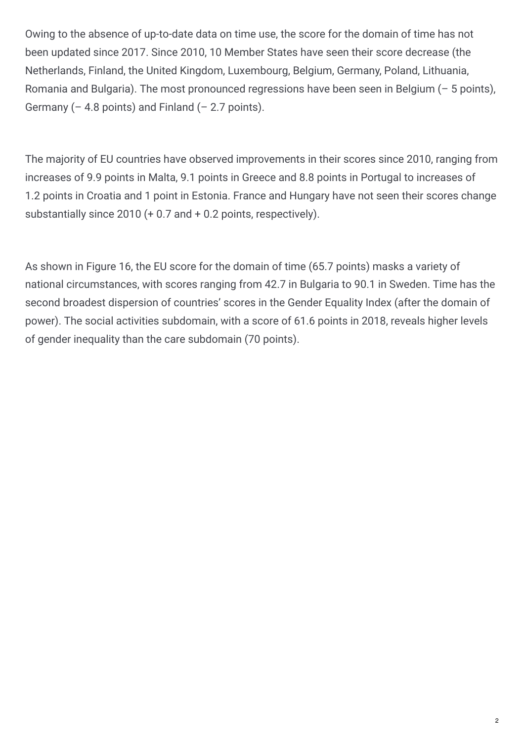Owing to the absence of up-to-date data on time use, the score for the domain of time has not been updated since 2017. Since 2010, 10 Member States have seen their score decrease (the Netherlands, Finland, the United Kingdom, Luxembourg, Belgium, Germany, Poland, Lithuania, Romania and Bulgaria). The most pronounced regressions have been seen in Belgium (– 5 points), Germany  $(-4.8 \text{ points})$  and Finland  $(-2.7 \text{ points})$ .

The majority of EU countries have observed improvements in their scores since 2010, ranging from increases of 9.9 points in Malta, 9.1 points in Greece and 8.8 points in Portugal to increases of 1.2 points in Croatia and 1 point in Estonia. France and Hungary have not seen their scores change substantially since 2010 (+ 0.7 and + 0.2 points, respectively).

As shown in Figure 16, the EU score for the domain of time (65.7 points) masks a variety of national circumstances, with scores ranging from 42.7 in Bulgaria to 90.1 in Sweden. Time has the second broadest dispersion of countries' scores in the Gender Equality Index (after the domain of power). The social activities subdomain, with a score of 61.6 points in 2018, reveals higher levels of gender inequality than the care subdomain (70 points).